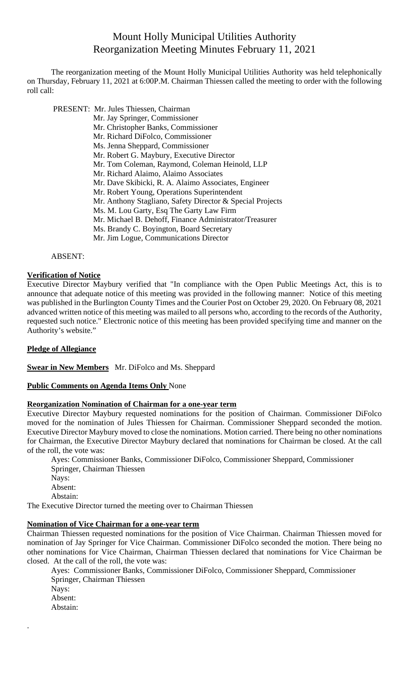# Mount Holly Municipal Utilities Authority Reorganization Meeting Minutes February 11, 2021

The reorganization meeting of the Mount Holly Municipal Utilities Authority was held telephonically on Thursday, February 11, 2021 at 6:00P.M. Chairman Thiessen called the meeting to order with the following roll call:

- PRESENT: Mr. Jules Thiessen, Chairman
	- Mr. Jay Springer, Commissioner
		- Mr. Christopher Banks, Commissioner
		- Mr. Richard DiFolco, Commissioner
		- Ms. Jenna Sheppard, Commissioner
		- Mr. Robert G. Maybury, Executive Director
		- Mr. Tom Coleman, Raymond, Coleman Heinold, LLP
		- Mr. Richard Alaimo, Alaimo Associates
		- Mr. Dave Skibicki, R. A. Alaimo Associates, Engineer
		- Mr. Robert Young, Operations Superintendent
		- Mr. Anthony Stagliano, Safety Director & Special Projects
		- Ms. M. Lou Garty, Esq The Garty Law Firm
		- Mr. Michael B. Dehoff, Finance Administrator/Treasurer
		- Ms. Brandy C. Boyington, Board Secretary
		- Mr. Jim Logue, Communications Director

#### ABSENT:

## **Verification of Notice**

Executive Director Maybury verified that "In compliance with the Open Public Meetings Act, this is to announce that adequate notice of this meeting was provided in the following manner: Notice of this meeting was published in the Burlington County Times and the Courier Post on October 29, 2020. On February 08, 2021 advanced written notice of this meeting was mailed to all persons who, according to the records of the Authority, requested such notice." Electronic notice of this meeting has been provided specifying time and manner on the Authority's website."

## **Pledge of Allegiance**

.

**Swear in New Members** Mr. DiFolco and Ms. Sheppard

## **Public Comments on Agenda Items Only** None

## **Reorganization Nomination of Chairman for a one-year term**

Executive Director Maybury requested nominations for the position of Chairman. Commissioner DiFolco moved for the nomination of Jules Thiessen for Chairman. Commissioner Sheppard seconded the motion. Executive Director Maybury moved to close the nominations. Motion carried. There being no other nominations for Chairman, the Executive Director Maybury declared that nominations for Chairman be closed. At the call of the roll, the vote was:

Ayes: Commissioner Banks, Commissioner DiFolco, Commissioner Sheppard, Commissioner Springer, Chairman Thiessen Nays: Absent: Abstain: The Executive Director turned the meeting over to Chairman Thiessen

## **Nomination of Vice Chairman for a one-year term**

Chairman Thiessen requested nominations for the position of Vice Chairman. Chairman Thiessen moved for nomination of Jay Springer for Vice Chairman. Commissioner DiFolco seconded the motion. There being no other nominations for Vice Chairman, Chairman Thiessen declared that nominations for Vice Chairman be closed. At the call of the roll, the vote was:

Ayes: Commissioner Banks, Commissioner DiFolco, Commissioner Sheppard, Commissioner Springer, Chairman Thiessen Nays: Absent: Abstain: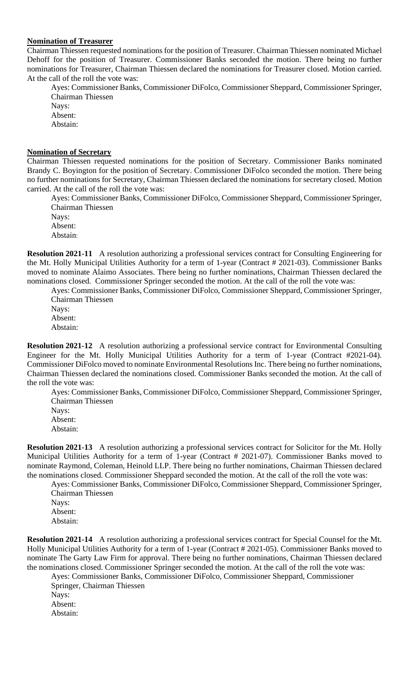#### **Nomination of Treasurer**

Chairman Thiessen requested nominations for the position of Treasurer. Chairman Thiessen nominated Michael Dehoff for the position of Treasurer. Commissioner Banks seconded the motion. There being no further nominations for Treasurer, Chairman Thiessen declared the nominations for Treasurer closed. Motion carried. At the call of the roll the vote was:

Ayes: Commissioner Banks, Commissioner DiFolco, Commissioner Sheppard, Commissioner Springer, Chairman Thiessen

Nays: Absent:

Abstain:

## **Nomination of Secretary**

Chairman Thiessen requested nominations for the position of Secretary. Commissioner Banks nominated Brandy C. Boyington for the position of Secretary. Commissioner DiFolco seconded the motion. There being no further nominations for Secretary, Chairman Thiessen declared the nominations for secretary closed. Motion carried. At the call of the roll the vote was:

Ayes: Commissioner Banks, Commissioner DiFolco, Commissioner Sheppard, Commissioner Springer, Chairman Thiessen Nays:

Absent: Abstain:

**Resolution 2021-11** A resolution authorizing a professional services contract for Consulting Engineering for the Mt. Holly Municipal Utilities Authority for a term of 1-year (Contract # 2021-03). Commissioner Banks moved to nominate Alaimo Associates. There being no further nominations, Chairman Thiessen declared the nominations closed. Commissioner Springer seconded the motion. At the call of the roll the vote was:

Ayes: Commissioner Banks, Commissioner DiFolco, Commissioner Sheppard, Commissioner Springer, Chairman Thiessen

Nays: Absent: Abstain:

**Resolution 2021-12** A resolution authorizing a professional service contract for Environmental Consulting Engineer for the Mt. Holly Municipal Utilities Authority for a term of 1-year (Contract #2021-04). Commissioner DiFolco moved to nominate Environmental Resolutions Inc. There being no further nominations, Chairman Thiessen declared the nominations closed. Commissioner Banks seconded the motion. At the call of the roll the vote was:

Ayes: Commissioner Banks, Commissioner DiFolco, Commissioner Sheppard, Commissioner Springer, Chairman Thiessen

Nays: Absent: Abstain:

**Resolution 2021-13** A resolution authorizing a professional services contract for Solicitor for the Mt. Holly Municipal Utilities Authority for a term of 1-year (Contract # 2021-07). Commissioner Banks moved to nominate Raymond, Coleman, Heinold LLP. There being no further nominations, Chairman Thiessen declared the nominations closed. Commissioner Sheppard seconded the motion. At the call of the roll the vote was:

Ayes: Commissioner Banks, Commissioner DiFolco, Commissioner Sheppard, Commissioner Springer, Chairman Thiessen

Nays: Absent: Abstain:

**Resolution 2021-14** A resolution authorizing a professional services contract for Special Counsel for the Mt. Holly Municipal Utilities Authority for a term of 1-year (Contract # 2021-05). Commissioner Banks moved to nominate The Garty Law Firm for approval. There being no further nominations, Chairman Thiessen declared the nominations closed. Commissioner Springer seconded the motion. At the call of the roll the vote was:

Ayes: Commissioner Banks, Commissioner DiFolco, Commissioner Sheppard, Commissioner Springer, Chairman Thiessen Nays:

Absent: Abstain: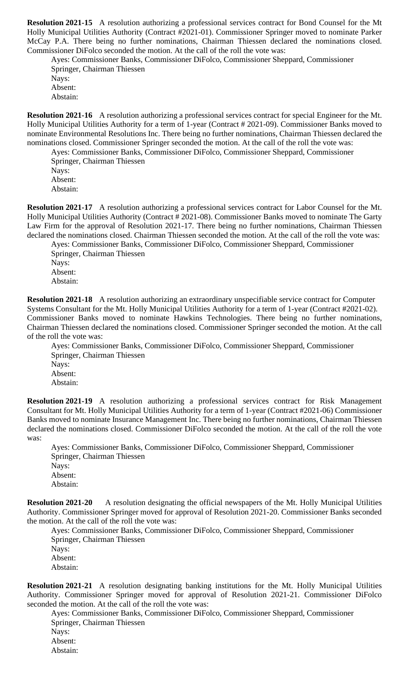**Resolution 2021-15** A resolution authorizing a professional services contract for Bond Counsel for the Mt Holly Municipal Utilities Authority (Contract #2021-01). Commissioner Springer moved to nominate Parker McCay P.A. There being no further nominations, Chairman Thiessen declared the nominations closed. Commissioner DiFolco seconded the motion. At the call of the roll the vote was:

Ayes: Commissioner Banks, Commissioner DiFolco, Commissioner Sheppard, Commissioner Springer, Chairman Thiessen Nays: Absent: Abstain:

**Resolution 2021-16** A resolution authorizing a professional services contract for special Engineer for the Mt. Holly Municipal Utilities Authority for a term of 1-year (Contract # 2021-09). Commissioner Banks moved to nominate Environmental Resolutions Inc. There being no further nominations, Chairman Thiessen declared the nominations closed. Commissioner Springer seconded the motion. At the call of the roll the vote was:

Ayes: Commissioner Banks, Commissioner DiFolco, Commissioner Sheppard, Commissioner Springer, Chairman Thiessen Nays: Absent: Abstain:

**Resolution 2021-17** A resolution authorizing a professional services contract for Labor Counsel for the Mt. Holly Municipal Utilities Authority (Contract # 2021-08). Commissioner Banks moved to nominate The Garty Law Firm for the approval of Resolution 2021-17. There being no further nominations, Chairman Thiessen declared the nominations closed. Chairman Thiessen seconded the motion. At the call of the roll the vote was: Ayes: Commissioner Banks, Commissioner DiFolco, Commissioner Sheppard, Commissioner

Springer, Chairman Thiessen Nays: Absent: Abstain:

**Resolution 2021-18** A resolution authorizing an extraordinary unspecifiable service contract for Computer Systems Consultant for the Mt. Holly Municipal Utilities Authority for a term of 1-year (Contract #2021-02). Commissioner Banks moved to nominate Hawkins Technologies. There being no further nominations, Chairman Thiessen declared the nominations closed. Commissioner Springer seconded the motion. At the call of the roll the vote was:

Ayes: Commissioner Banks, Commissioner DiFolco, Commissioner Sheppard, Commissioner Springer, Chairman Thiessen Nays: Absent: Abstain:

**Resolution 2021-19** A resolution authorizing a professional services contract for Risk Management Consultant for Mt. Holly Municipal Utilities Authority for a term of 1-year (Contract #2021-06) Commissioner Banks moved to nominate Insurance Management Inc. There being no further nominations, Chairman Thiessen declared the nominations closed. Commissioner DiFolco seconded the motion. At the call of the roll the vote was:

Ayes: Commissioner Banks, Commissioner DiFolco, Commissioner Sheppard, Commissioner Springer, Chairman Thiessen Nays: Absent: Abstain:

**Resolution 2021-20** A resolution designating the official newspapers of the Mt. Holly Municipal Utilities Authority. Commissioner Springer moved for approval of Resolution 2021-20. Commissioner Banks seconded the motion. At the call of the roll the vote was:

Ayes: Commissioner Banks, Commissioner DiFolco, Commissioner Sheppard, Commissioner Springer, Chairman Thiessen Nays: Absent: Abstain:

**Resolution 2021-21** A resolution designating banking institutions for the Mt. Holly Municipal Utilities Authority. Commissioner Springer moved for approval of Resolution 2021-21. Commissioner DiFolco seconded the motion. At the call of the roll the vote was:

Ayes: Commissioner Banks, Commissioner DiFolco, Commissioner Sheppard, Commissioner Springer, Chairman Thiessen Nays: Absent: Abstain: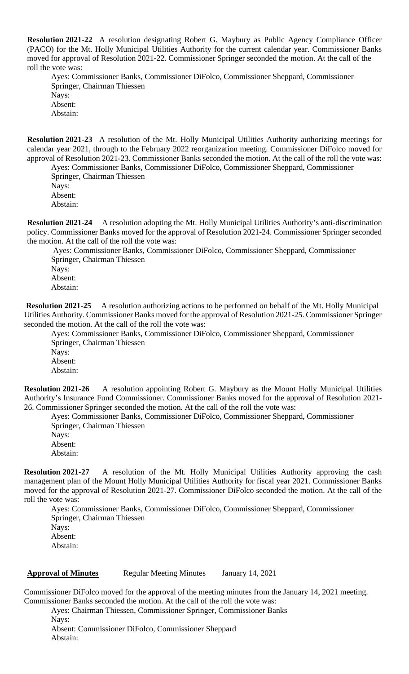**Resolution 2021-22** A resolution designating Robert G. Maybury as Public Agency Compliance Officer (PACO) for the Mt. Holly Municipal Utilities Authority for the current calendar year. Commissioner Banks moved for approval of Resolution 2021-22. Commissioner Springer seconded the motion. At the call of the roll the vote was:

Ayes: Commissioner Banks, Commissioner DiFolco, Commissioner Sheppard, Commissioner Springer, Chairman Thiessen Nays: Absent: Abstain:

**Resolution 2021-23** A resolution of the Mt. Holly Municipal Utilities Authority authorizing meetings for calendar year 2021, through to the February 2022 reorganization meeting. Commissioner DiFolco moved for approval of Resolution 2021-23. Commissioner Banks seconded the motion. At the call of the roll the vote was:

Ayes: Commissioner Banks, Commissioner DiFolco, Commissioner Sheppard, Commissioner Springer, Chairman Thiessen Nays: Absent:

Abstain:

**Resolution 2021-24** A resolution adopting the Mt. Holly Municipal Utilities Authority's anti-discrimination policy. Commissioner Banks moved for the approval of Resolution 2021-24. Commissioner Springer seconded the motion. At the call of the roll the vote was:

Ayes: Commissioner Banks, Commissioner DiFolco, Commissioner Sheppard, Commissioner Springer, Chairman Thiessen Nays: Absent: Abstain:

**Resolution 2021-25** A resolution authorizing actions to be performed on behalf of the Mt. Holly Municipal Utilities Authority. Commissioner Banks moved for the approval of Resolution 2021-25. Commissioner Springer seconded the motion. At the call of the roll the vote was:

Ayes: Commissioner Banks, Commissioner DiFolco, Commissioner Sheppard, Commissioner Springer, Chairman Thiessen Nays: Absent: Abstain:

**Resolution 2021-26** A resolution appointing Robert G. Maybury as the Mount Holly Municipal Utilities Authority's Insurance Fund Commissioner. Commissioner Banks moved for the approval of Resolution 2021- 26. Commissioner Springer seconded the motion. At the call of the roll the vote was:

Ayes: Commissioner Banks, Commissioner DiFolco, Commissioner Sheppard, Commissioner Springer, Chairman Thiessen

Nays: Absent: Abstain:

**Resolution 2021-27** A resolution of the Mt. Holly Municipal Utilities Authority approving the cash management plan of the Mount Holly Municipal Utilities Authority for fiscal year 2021. Commissioner Banks moved for the approval of Resolution 2021-27. Commissioner DiFolco seconded the motion. At the call of the roll the vote was:

Ayes: Commissioner Banks, Commissioner DiFolco, Commissioner Sheppard, Commissioner Springer, Chairman Thiessen Nays: Absent: Abstain:

## **Approval of Minutes** Regular Meeting Minutes January 14, 2021

Commissioner DiFolco moved for the approval of the meeting minutes from the January 14, 2021 meeting. Commissioner Banks seconded the motion. At the call of the roll the vote was:

Ayes: Chairman Thiessen, Commissioner Springer, Commissioner Banks

Nays: Absent: Commissioner DiFolco, Commissioner Sheppard Abstain: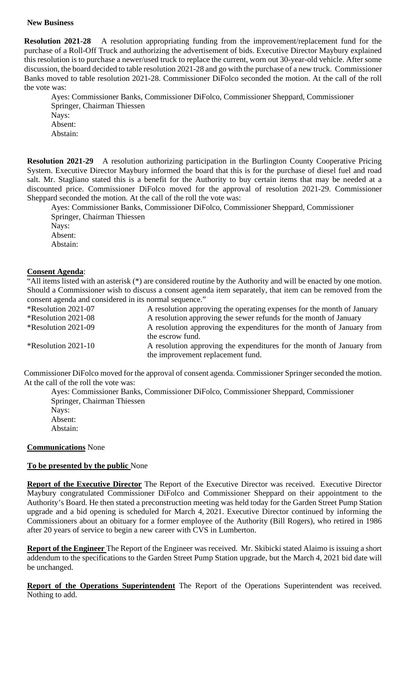#### **New Business**

**Resolution 2021-28** A resolution appropriating funding from the improvement/replacement fund for the purchase of a Roll-Off Truck and authorizing the advertisement of bids. Executive Director Maybury explained this resolution is to purchase a newer/used truck to replace the current, worn out 30-year-old vehicle. After some discussion, the board decided to table resolution 2021-28 and go with the purchase of a new truck. Commissioner Banks moved to table resolution 2021-28. Commissioner DiFolco seconded the motion. At the call of the roll the vote was:

Ayes: Commissioner Banks, Commissioner DiFolco, Commissioner Sheppard, Commissioner Springer, Chairman Thiessen

Nays: Absent: Abstain:

**Resolution 2021-29** A resolution authorizing participation in the Burlington County Cooperative Pricing System. Executive Director Maybury informed the board that this is for the purchase of diesel fuel and road salt. Mr. Stagliano stated this is a benefit for the Authority to buy certain items that may be needed at a discounted price. Commissioner DiFolco moved for the approval of resolution 2021-29. Commissioner Sheppard seconded the motion. At the call of the roll the vote was:

Ayes: Commissioner Banks, Commissioner DiFolco, Commissioner Sheppard, Commissioner Springer, Chairman Thiessen Nays: Absent: Abstain:

# **Consent Agenda**:

"All items listed with an asterisk (\*) are considered routine by the Authority and will be enacted by one motion. Should a Commissioner wish to discuss a consent agenda item separately, that item can be removed from the consent agenda and considered in its normal sequence."

| *Resolution 2021-07   | A resolution approving the operating expenses for the month of January                                     |
|-----------------------|------------------------------------------------------------------------------------------------------------|
| *Resolution 2021-08   | A resolution approving the sewer refunds for the month of January                                          |
| *Resolution 2021-09   | A resolution approving the expenditures for the month of January from<br>the escrow fund.                  |
| *Resolution $2021-10$ | A resolution approving the expenditures for the month of January from<br>the improvement replacement fund. |

Commissioner DiFolco moved for the approval of consent agenda. Commissioner Springer seconded the motion. At the call of the roll the vote was:

Ayes: Commissioner Banks, Commissioner DiFolco, Commissioner Sheppard, Commissioner Springer, Chairman Thiessen Nays: Absent: Abstain:

## **Communications** None

# **To be presented by the public** None

**Report of the Executive Director** The Report of the Executive Director was received. Executive Director Maybury congratulated Commissioner DiFolco and Commissioner Sheppard on their appointment to the Authority's Board. He then stated a preconstruction meeting was held today for the Garden Street Pump Station upgrade and a bid opening is scheduled for March 4, 2021. Executive Director continued by informing the Commissioners about an obituary for a former employee of the Authority (Bill Rogers), who retired in 1986 after 20 years of service to begin a new career with CVS in Lumberton.

**Report of the Engineer** The Report of the Engineer was received. Mr. Skibicki stated Alaimo is issuing a short addendum to the specifications to the Garden Street Pump Station upgrade, but the March 4, 2021 bid date will be unchanged.

**Report of the Operations Superintendent** The Report of the Operations Superintendent was received. Nothing to add.